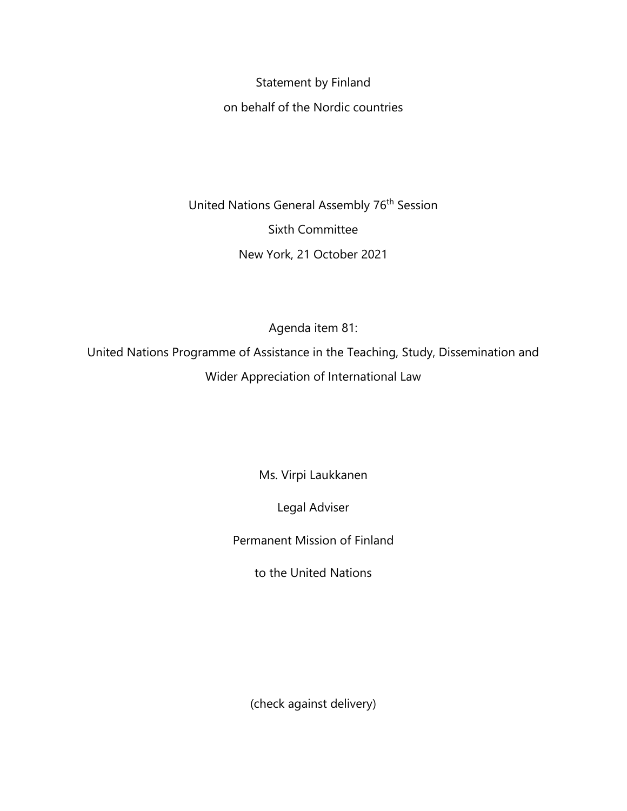Statement by Finland

on behalf of the Nordic countries

United Nations General Assembly 76<sup>th</sup> Session Sixth Committee New York, 21 October 2021

Agenda item 81:

United Nations Programme of Assistance in the Teaching, Study, Dissemination and Wider Appreciation of International Law

Ms. Virpi Laukkanen

Legal Adviser

Permanent Mission of Finland

to the United Nations

(check against delivery)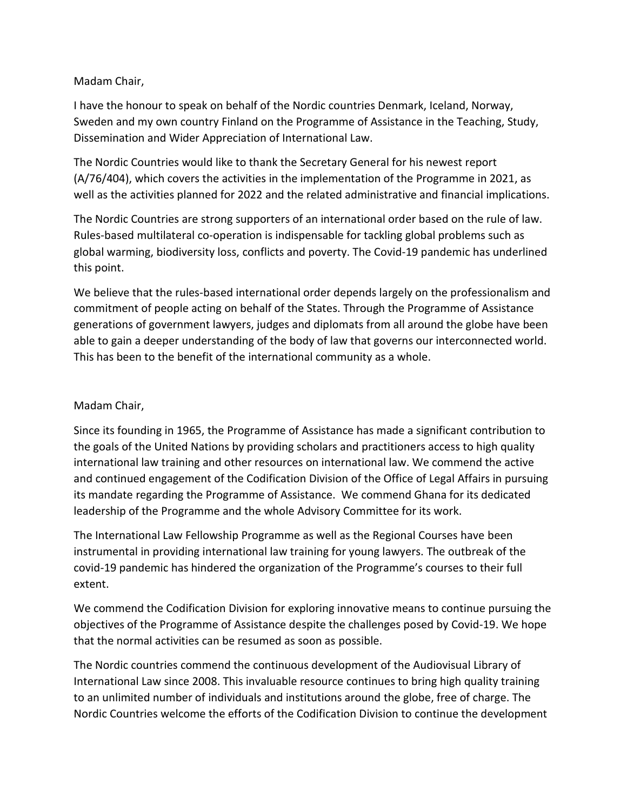## Madam Chair,

I have the honour to speak on behalf of the Nordic countries Denmark, Iceland, Norway, Sweden and my own country Finland on the Programme of Assistance in the Teaching, Study, Dissemination and Wider Appreciation of International Law.

The Nordic Countries would like to thank the Secretary General for his newest report (A/76/404), which covers the activities in the implementation of the Programme in 2021, as well as the activities planned for 2022 and the related administrative and financial implications.

The Nordic Countries are strong supporters of an international order based on the rule of law. Rules-based multilateral co-operation is indispensable for tackling global problems such as global warming, biodiversity loss, conflicts and poverty. The Covid-19 pandemic has underlined this point.

We believe that the rules-based international order depends largely on the professionalism and commitment of people acting on behalf of the States. Through the Programme of Assistance generations of government lawyers, judges and diplomats from all around the globe have been able to gain a deeper understanding of the body of law that governs our interconnected world. This has been to the benefit of the international community as a whole.

## Madam Chair,

Since its founding in 1965, the Programme of Assistance has made a significant contribution to the goals of the United Nations by providing scholars and practitioners access to high quality international law training and other resources on international law. We commend the active and continued engagement of the Codification Division of the Office of Legal Affairs in pursuing its mandate regarding the Programme of Assistance. We commend Ghana for its dedicated leadership of the Programme and the whole Advisory Committee for its work.

The International Law Fellowship Programme as well as the Regional Courses have been instrumental in providing international law training for young lawyers. The outbreak of the covid-19 pandemic has hindered the organization of the Programme's courses to their full extent.

We commend the Codification Division for exploring innovative means to continue pursuing the objectives of the Programme of Assistance despite the challenges posed by Covid-19. We hope that the normal activities can be resumed as soon as possible.

The Nordic countries commend the continuous development of the Audiovisual Library of International Law since 2008. This invaluable resource continues to bring high quality training to an unlimited number of individuals and institutions around the globe, free of charge. The Nordic Countries welcome the efforts of the Codification Division to continue the development